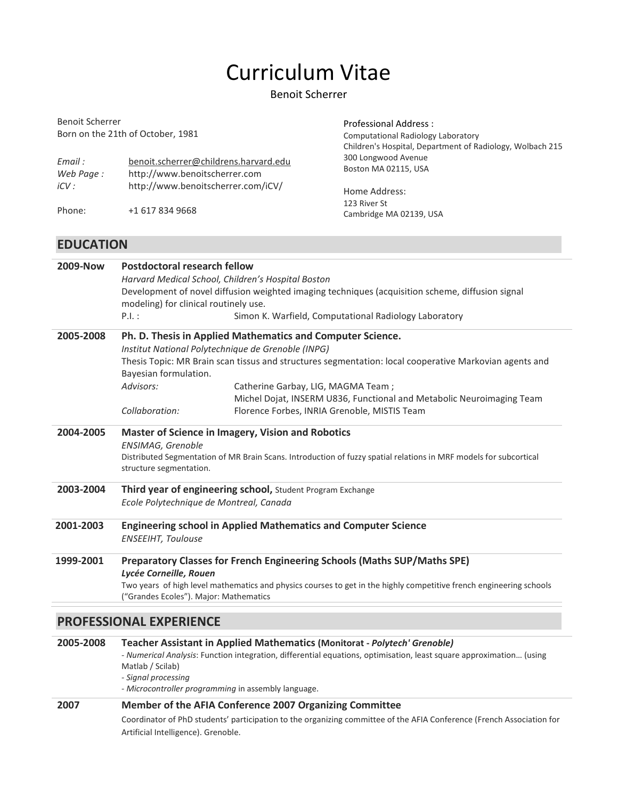# Curriculum Vitae

### Benoit Scherrer

| Professional Address:<br><b>Computational Radiology Laboratory</b><br>Children's Hospital, Department of Radiology, Wolbach 215 |  |
|---------------------------------------------------------------------------------------------------------------------------------|--|
| 300 Longwood Avenue<br>Boston MA 02115, USA                                                                                     |  |
|                                                                                                                                 |  |
|                                                                                                                                 |  |

# EDUCATION

| 2009-Now                                                                 | <b>Postdoctoral research fellow</b>                                                                                                                                                                                           |                                                                       |  |  |
|--------------------------------------------------------------------------|-------------------------------------------------------------------------------------------------------------------------------------------------------------------------------------------------------------------------------|-----------------------------------------------------------------------|--|--|
|                                                                          | Harvard Medical School, Children's Hospital Boston                                                                                                                                                                            |                                                                       |  |  |
|                                                                          | Development of novel diffusion weighted imaging techniques (acquisition scheme, diffusion signal                                                                                                                              |                                                                       |  |  |
|                                                                          | modeling) for clinical routinely use.                                                                                                                                                                                         |                                                                       |  |  |
|                                                                          | P.I.:                                                                                                                                                                                                                         | Simon K. Warfield, Computational Radiology Laboratory                 |  |  |
| 2005-2008                                                                | Ph. D. Thesis in Applied Mathematics and Computer Science.                                                                                                                                                                    |                                                                       |  |  |
|                                                                          | Institut National Polytechnique de Grenoble (INPG)                                                                                                                                                                            |                                                                       |  |  |
|                                                                          | Thesis Topic: MR Brain scan tissus and structures segmentation: local cooperative Markovian agents and<br>Bayesian formulation.                                                                                               |                                                                       |  |  |
|                                                                          | Advisors:                                                                                                                                                                                                                     | Catherine Garbay, LIG, MAGMA Team;                                    |  |  |
|                                                                          |                                                                                                                                                                                                                               | Michel Dojat, INSERM U836, Functional and Metabolic Neuroimaging Team |  |  |
|                                                                          | Collaboration:                                                                                                                                                                                                                | Florence Forbes, INRIA Grenoble, MISTIS Team                          |  |  |
| 2004-2005                                                                | <b>Master of Science in Imagery, Vision and Robotics</b><br>ENSIMAG, Grenoble<br>Distributed Segmentation of MR Brain Scans. Introduction of fuzzy spatial relations in MRF models for subcortical<br>structure segmentation. |                                                                       |  |  |
| 2003-2004                                                                | Third year of engineering school, Student Program Exchange<br>Ecole Polytechnique de Montreal, Canada                                                                                                                         |                                                                       |  |  |
| 2001-2003                                                                | <b>Engineering school in Applied Mathematics and Computer Science</b><br><b>ENSEEIHT, Toulouse</b>                                                                                                                            |                                                                       |  |  |
| 1999-2001                                                                | Preparatory Classes for French Engineering Schools (Maths SUP/Maths SPE)<br>Lycée Corneille, Rouen<br>Two years of high level mathematics and physics courses to get in the highly competitive french engineering schools     |                                                                       |  |  |
| ("Grandes Ecoles"). Major: Mathematics<br><b>PROFESSIONAL EXPERIENCE</b> |                                                                                                                                                                                                                               |                                                                       |  |  |

| 2005-2008 | <b>Teacher Assistant in Applied Mathematics (Monitorat - Polytech' Grenoble)</b>                                    |  |  |
|-----------|---------------------------------------------------------------------------------------------------------------------|--|--|
|           | - Numerical Analysis: Function integration, differential equations, optimisation, least square approximation (using |  |  |
|           | Matlab / Scilab)                                                                                                    |  |  |
|           | - Signal processing                                                                                                 |  |  |
|           | - Microcontroller programming in assembly language.                                                                 |  |  |
| דחחר      | Mamber of the AEIA Conference 2007 Organizing Committee                                                             |  |  |

#### 2007 Member of the AFIA Conference 2007 Organizing Committee

Coordinator of PhD students' participation to the organizing committee of the AFIA Conference (French Association for Artificial Intelligence). Grenoble.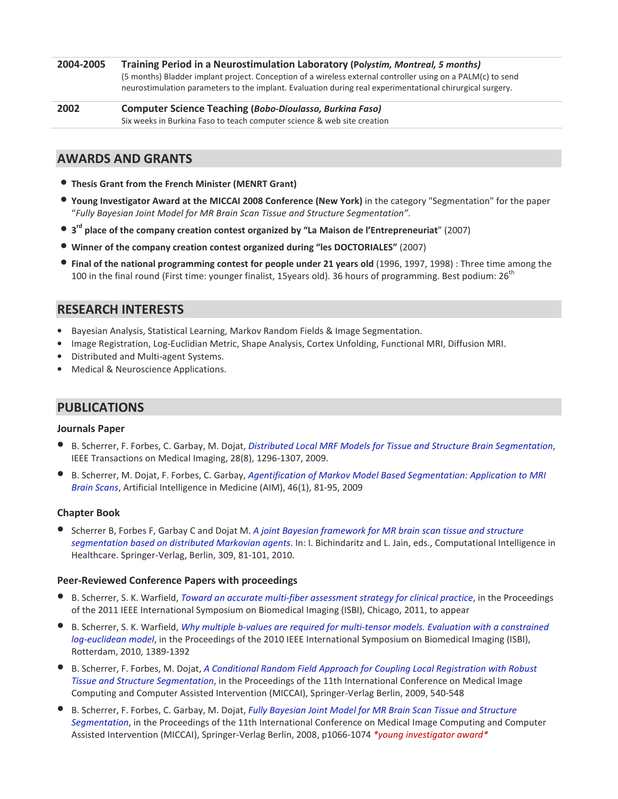2004-2005 Training Period in a Neurostimulation Laboratory (Polystim, Montreal, 5 months) (5 months) Bladder implant project. Conception of a wireless external controller using on a PALM(c) to send neurostimulation parameters to the implant. Evaluation during real experimentational chirurgical surgery.

2002 Computer Science Teaching (Bobo-Dioulasso, Burkina Faso) Six weeks in Burkina Faso to teach computer science & web site creation

## AWARDS AND GRANTS

- Thesis Grant from the French Minister (MENRT Grant)
- Young Investigator Award at the MICCAI 2008 Conference (New York) in the category "Segmentation" for the paper "Fully Bayesian Joint Model for MR Brain Scan Tissue and Structure Segmentation".
- 3<sup>rd</sup> place of the company creation contest organized by "La Maison de l'Entrepreneuriat" (2007)
- Winner of the company creation contest organized during "les DOCTORIALES" (2007)
- Final of the national programming contest for people under 21 years old (1996, 1997, 1998) : Three time among the 100 in the final round (First time: younger finalist, 15years old). 36 hours of programming. Best podium: 26<sup>th</sup>

## RESEARCH INTERESTS

- Bayesian Analysis, Statistical Learning, Markov Random Fields & Image Segmentation.
- Image Registration, Log-Euclidian Metric, Shape Analysis, Cortex Unfolding, Functional MRI, Diffusion MRI.
- Distributed and Multi-agent Systems.
- Medical & Neuroscience Applications.

## PUBLICATIONS

#### Journals Paper

- B. Scherrer, F. Forbes, C. Garbay, M. Dojat, Distributed Local MRF Models for Tissue and Structure Brain Segmentation, IEEE Transactions on Medical Imaging, 28(8), 1296-1307, 2009.
- B. Scherrer, M. Dojat, F. Forbes, C. Garbay, Agentification of Markov Model Based Segmentation: Application to MRI Brain Scans, Artificial Intelligence in Medicine (AIM), 46(1), 81-95, 2009

#### Chapter Book

• Scherrer B, Forbes F, Garbay C and Dojat M. A joint Bayesian framework for MR brain scan tissue and structure segmentation based on distributed Markovian agents. In: I. Bichindaritz and L. Jain, eds., Computational Intelligence in Healthcare. Springer-Verlag, Berlin, 309, 81-101, 2010.

#### Peer-Reviewed Conference Papers with proceedings

- B. Scherrer, S. K. Warfield, Toward an accurate multi-fiber assessment strategy for clinical practice, in the Proceedings of the 2011 IEEE International Symposium on Biomedical Imaging (ISBI), Chicago, 2011, to appear
- B. Scherrer, S. K. Warfield, Why multiple b-values are required for multi-tensor models. Evaluation with a constrained log-euclidean model, in the Proceedings of the 2010 IEEE International Symposium on Biomedical Imaging (ISBI), Rotterdam, 2010, 1389-1392
- B. Scherrer, F. Forbes, M. Dojat, A Conditional Random Field Approach for Coupling Local Registration with Robust Tissue and Structure Segmentation, in the Proceedings of the 11th International Conference on Medical Image Computing and Computer Assisted Intervention (MICCAI), Springer-Verlag Berlin, 2009, 540-548
- B. Scherrer, F. Forbes, C. Garbay, M. Dojat, Fully Bayesian Joint Model for MR Brain Scan Tissue and Structure Segmentation, in the Proceedings of the 11th International Conference on Medical Image Computing and Computer Assisted Intervention (MICCAI), Springer-Verlag Berlin, 2008, p1066-1074 \*young investigator award\*